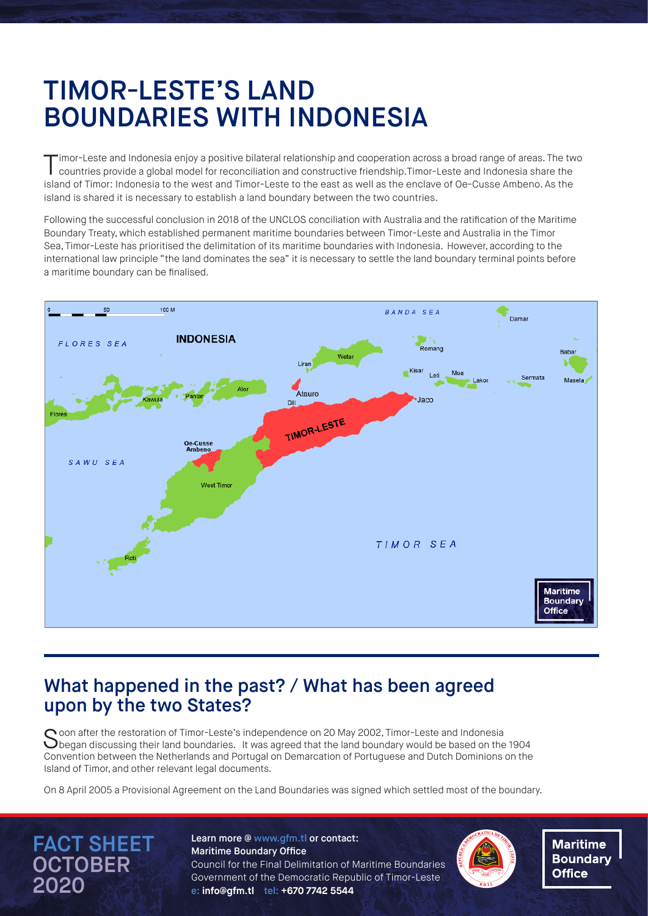# TIMOR-LESTE'S LAND BOUNDARIES WITH INDONESIA

imor-Leste and Indonesia enjoy a positive bilateral relationship and cooperation across a broad range of areas. The two countries provide a global model for reconciliation and constructive friendship.Timor-Leste and Indonesia share the island of Timor: Indonesia to the west and Timor-Leste to the east as well as the enclave of Oe-Cusse Ambeno. As the island is shared it is necessary to establish a land boundary between the two countries.

Following the successful conclusion in 2018 of the UNCLOS conciliation with Australia and the ratification of the Maritime Boundary Treaty, which established permanent maritime boundaries between Timor-Leste and Australia in the Timor Sea, Timor-Leste has prioritised the delimitation of its maritime boundaries with Indonesia. However, according to the international law principle "the land dominates the sea" it is necessary to settle the land boundary terminal points before a maritime boundary can be finalised.



#### What happened in the past? / What has been agreed upon by the two States?

Soon after the restoration of Timor-Leste's independence on 20 May 2002, Timor-Leste and Indonesia<br>Subegan discussing their land boundaries. It was agreed that the land boundary would be based on the 1904 Convention between the Netherlands and Portugal on Demarcation of Portuguese and Dutch Dominions on the Island of Timor, and other relevant legal documents.

On 8 April 2005 a Provisional Agreement on the Land Boundaries was signed which settled most of the boundary.

FACT SHEET **OCTOBER** 2020

Learn more @ www.gfm.tl or contact: Maritime Boundary Office Council for the Final Delimitation of Maritime Boundaries Government of the Democratic Republic of Timor-Leste e**: info@gfm.tl** tel: **+670 7742 5544** 



**Maritime Boundary Office**